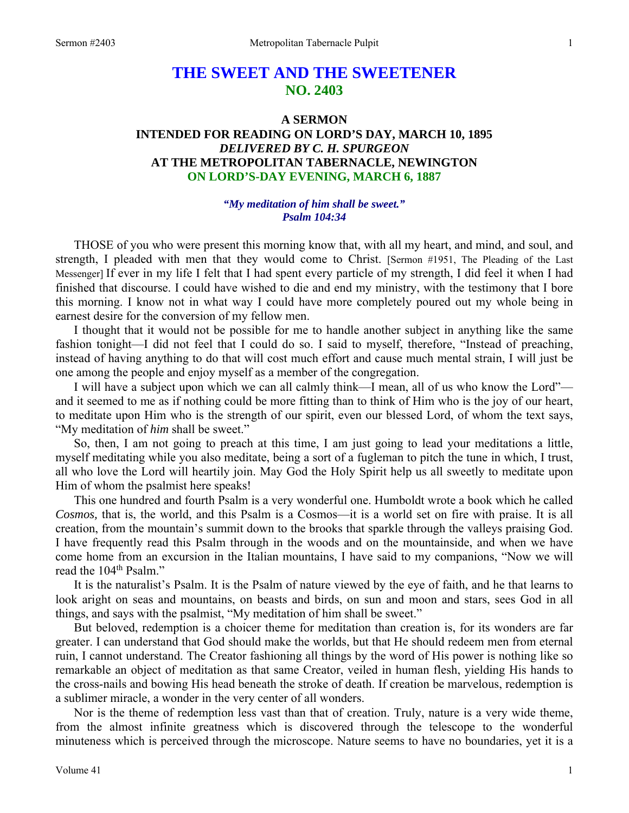# **THE SWEET AND THE SWEETENER NO. 2403**

# **A SERMON INTENDED FOR READING ON LORD'S DAY, MARCH 10, 1895**  *DELIVERED BY C. H. SPURGEON*  **AT THE METROPOLITAN TABERNACLE, NEWINGTON ON LORD'S-DAY EVENING, MARCH 6, 1887**

# *"My meditation of him shall be sweet." Psalm 104:34*

THOSE of you who were present this morning know that, with all my heart, and mind, and soul, and strength, I pleaded with men that they would come to Christ. [Sermon #1951, The Pleading of the Last Messenger] If ever in my life I felt that I had spent every particle of my strength, I did feel it when I had finished that discourse. I could have wished to die and end my ministry, with the testimony that I bore this morning. I know not in what way I could have more completely poured out my whole being in earnest desire for the conversion of my fellow men.

I thought that it would not be possible for me to handle another subject in anything like the same fashion tonight—I did not feel that I could do so. I said to myself, therefore, "Instead of preaching, instead of having anything to do that will cost much effort and cause much mental strain, I will just be one among the people and enjoy myself as a member of the congregation.

I will have a subject upon which we can all calmly think—I mean, all of us who know the Lord" and it seemed to me as if nothing could be more fitting than to think of Him who is the joy of our heart, to meditate upon Him who is the strength of our spirit, even our blessed Lord, of whom the text says, "My meditation of *him* shall be sweet."

So, then, I am not going to preach at this time, I am just going to lead your meditations a little, myself meditating while you also meditate, being a sort of a fugleman to pitch the tune in which, I trust, all who love the Lord will heartily join. May God the Holy Spirit help us all sweetly to meditate upon Him of whom the psalmist here speaks!

This one hundred and fourth Psalm is a very wonderful one. Humboldt wrote a book which he called *Cosmos,* that is, the world, and this Psalm is a Cosmos—it is a world set on fire with praise. It is all creation, from the mountain's summit down to the brooks that sparkle through the valleys praising God. I have frequently read this Psalm through in the woods and on the mountainside, and when we have come home from an excursion in the Italian mountains, I have said to my companions, "Now we will read the 104<sup>th</sup> Psalm."

It is the naturalist's Psalm. It is the Psalm of nature viewed by the eye of faith, and he that learns to look aright on seas and mountains, on beasts and birds, on sun and moon and stars, sees God in all things, and says with the psalmist, "My meditation of him shall be sweet."

But beloved, redemption is a choicer theme for meditation than creation is, for its wonders are far greater. I can understand that God should make the worlds, but that He should redeem men from eternal ruin, I cannot understand. The Creator fashioning all things by the word of His power is nothing like so remarkable an object of meditation as that same Creator, veiled in human flesh, yielding His hands to the cross-nails and bowing His head beneath the stroke of death. If creation be marvelous, redemption is a sublimer miracle, a wonder in the very center of all wonders.

Nor is the theme of redemption less vast than that of creation. Truly, nature is a very wide theme, from the almost infinite greatness which is discovered through the telescope to the wonderful minuteness which is perceived through the microscope. Nature seems to have no boundaries, yet it is a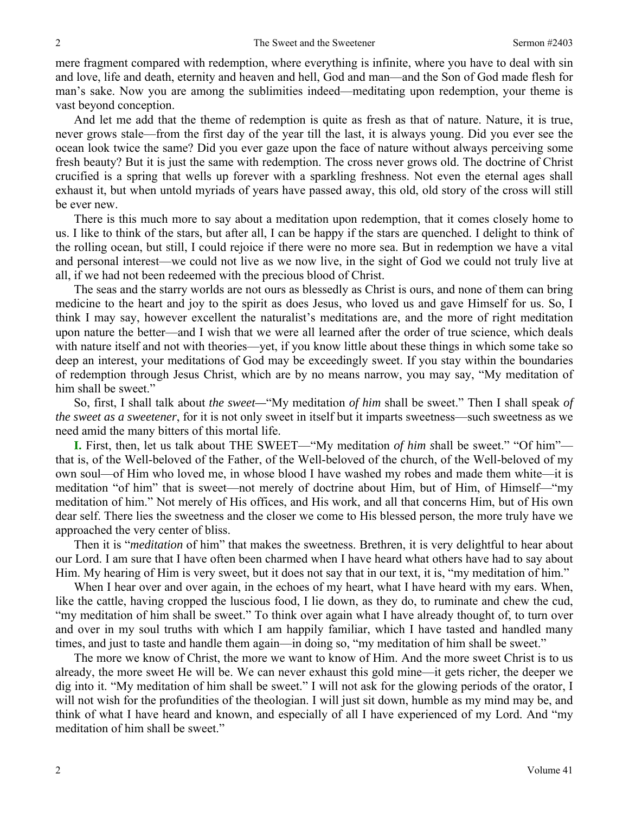mere fragment compared with redemption, where everything is infinite, where you have to deal with sin and love, life and death, eternity and heaven and hell, God and man—and the Son of God made flesh for man's sake. Now you are among the sublimities indeed—meditating upon redemption, your theme is vast beyond conception.

And let me add that the theme of redemption is quite as fresh as that of nature. Nature, it is true, never grows stale—from the first day of the year till the last, it is always young. Did you ever see the ocean look twice the same? Did you ever gaze upon the face of nature without always perceiving some fresh beauty? But it is just the same with redemption. The cross never grows old. The doctrine of Christ crucified is a spring that wells up forever with a sparkling freshness. Not even the eternal ages shall exhaust it, but when untold myriads of years have passed away, this old, old story of the cross will still be ever new.

There is this much more to say about a meditation upon redemption, that it comes closely home to us. I like to think of the stars, but after all, I can be happy if the stars are quenched. I delight to think of the rolling ocean, but still, I could rejoice if there were no more sea. But in redemption we have a vital and personal interest—we could not live as we now live, in the sight of God we could not truly live at all, if we had not been redeemed with the precious blood of Christ.

The seas and the starry worlds are not ours as blessedly as Christ is ours, and none of them can bring medicine to the heart and joy to the spirit as does Jesus, who loved us and gave Himself for us. So, I think I may say, however excellent the naturalist's meditations are, and the more of right meditation upon nature the better—and I wish that we were all learned after the order of true science, which deals with nature itself and not with theories—yet, if you know little about these things in which some take so deep an interest, your meditations of God may be exceedingly sweet. If you stay within the boundaries of redemption through Jesus Christ, which are by no means narrow, you may say, "My meditation of him shall be sweet."

So, first, I shall talk about *the sweet—*"My meditation *of him* shall be sweet." Then I shall speak *of the sweet as a sweetener*, for it is not only sweet in itself but it imparts sweetness—such sweetness as we need amid the many bitters of this mortal life.

**I.** First, then, let us talk about THE SWEET—"My meditation *of him s*hall be sweet." "Of him" that is, of the Well-beloved of the Father, of the Well-beloved of the church, of the Well-beloved of my own soul—of Him who loved me, in whose blood I have washed my robes and made them white—it is meditation "of him" that is sweet—not merely of doctrine about Him, but of Him, of Himself—"my meditation of him." Not merely of His offices, and His work, and all that concerns Him, but of His own dear self. There lies the sweetness and the closer we come to His blessed person, the more truly have we approached the very center of bliss.

Then it is "*meditation* of him" that makes the sweetness. Brethren, it is very delightful to hear about our Lord. I am sure that I have often been charmed when I have heard what others have had to say about Him. My hearing of Him is very sweet, but it does not say that in our text, it is, "my meditation of him."

When I hear over and over again, in the echoes of my heart, what I have heard with my ears. When, like the cattle, having cropped the luscious food, I lie down, as they do, to ruminate and chew the cud, "my meditation of him shall be sweet." To think over again what I have already thought of, to turn over and over in my soul truths with which I am happily familiar, which I have tasted and handled many times, and just to taste and handle them again—in doing so, "my meditation of him shall be sweet."

The more we know of Christ, the more we want to know of Him. And the more sweet Christ is to us already, the more sweet He will be. We can never exhaust this gold mine—it gets richer, the deeper we dig into it. "My meditation of him shall be sweet." I will not ask for the glowing periods of the orator, I will not wish for the profundities of the theologian. I will just sit down, humble as my mind may be, and think of what I have heard and known, and especially of all I have experienced of my Lord. And "my meditation of him shall be sweet."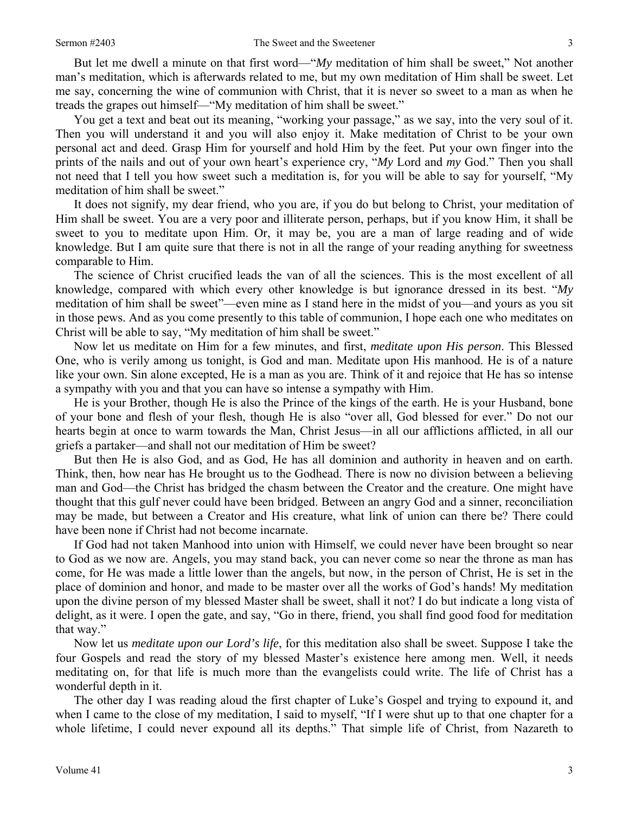But let me dwell a minute on that first word—"*My* meditation of him shall be sweet," Not another man's meditation, which is afterwards related to me, but my own meditation of Him shall be sweet. Let me say, concerning the wine of communion with Christ, that it is never so sweet to a man as when he treads the grapes out himself—"My meditation of him shall be sweet."

You get a text and beat out its meaning, "working your passage," as we say, into the very soul of it. Then you will understand it and you will also enjoy it. Make meditation of Christ to be your own personal act and deed. Grasp Him for yourself and hold Him by the feet. Put your own finger into the prints of the nails and out of your own heart's experience cry, "*My* Lord and *my* God." Then you shall not need that I tell you how sweet such a meditation is, for you will be able to say for yourself, "My meditation of him shall be sweet."

It does not signify, my dear friend, who you are, if you do but belong to Christ, your meditation of Him shall be sweet. You are a very poor and illiterate person, perhaps, but if you know Him, it shall be sweet to you to meditate upon Him. Or, it may be, you are a man of large reading and of wide knowledge. But I am quite sure that there is not in all the range of your reading anything for sweetness comparable to Him.

The science of Christ crucified leads the van of all the sciences. This is the most excellent of all knowledge, compared with which every other knowledge is but ignorance dressed in its best. "*My* meditation of him shall be sweet"—even mine as I stand here in the midst of you—and yours as you sit in those pews. And as you come presently to this table of communion, I hope each one who meditates on Christ will be able to say, "My meditation of him shall be sweet."

Now let us meditate on Him for a few minutes, and first, *meditate upon His person*. This Blessed One, who is verily among us tonight, is God and man. Meditate upon His manhood. He is of a nature like your own. Sin alone excepted, He is a man as you are. Think of it and rejoice that He has so intense a sympathy with you and that you can have so intense a sympathy with Him.

He is your Brother, though He is also the Prince of the kings of the earth. He is your Husband, bone of your bone and flesh of your flesh, though He is also "over all, God blessed for ever." Do not our hearts begin at once to warm towards the Man, Christ Jesus—in all our afflictions afflicted, in all our griefs a partaker—and shall not our meditation of Him be sweet?

But then He is also God, and as God, He has all dominion and authority in heaven and on earth. Think, then, how near has He brought us to the Godhead. There is now no division between a believing man and God—the Christ has bridged the chasm between the Creator and the creature. One might have thought that this gulf never could have been bridged. Between an angry God and a sinner, reconciliation may be made, but between a Creator and His creature, what link of union can there be? There could have been none if Christ had not become incarnate.

If God had not taken Manhood into union with Himself, we could never have been brought so near to God as we now are. Angels, you may stand back, you can never come so near the throne as man has come, for He was made a little lower than the angels, but now, in the person of Christ, He is set in the place of dominion and honor, and made to be master over all the works of God's hands! My meditation upon the divine person of my blessed Master shall be sweet, shall it not? I do but indicate a long vista of delight, as it were. I open the gate, and say, "Go in there, friend, you shall find good food for meditation that way."

Now let us *meditate upon our Lord's life*, for this meditation also shall be sweet. Suppose I take the four Gospels and read the story of my blessed Master's existence here among men. Well, it needs meditating on, for that life is much more than the evangelists could write. The life of Christ has a wonderful depth in it.

The other day I was reading aloud the first chapter of Luke's Gospel and trying to expound it, and when I came to the close of my meditation, I said to myself, "If I were shut up to that one chapter for a whole lifetime, I could never expound all its depths." That simple life of Christ, from Nazareth to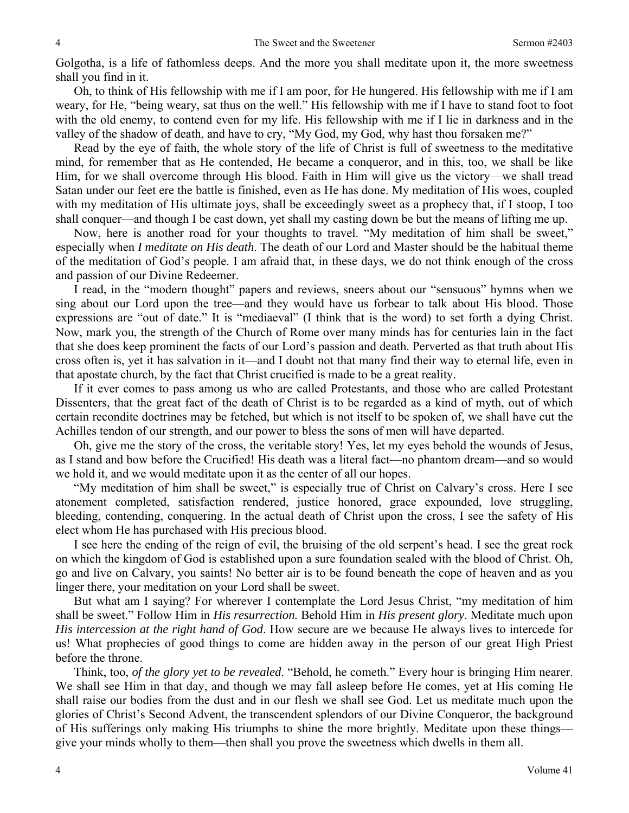Golgotha, is a life of fathomless deeps. And the more you shall meditate upon it, the more sweetness shall you find in it.

Oh, to think of His fellowship with me if I am poor, for He hungered. His fellowship with me if I am weary, for He, "being weary, sat thus on the well." His fellowship with me if I have to stand foot to foot with the old enemy, to contend even for my life. His fellowship with me if I lie in darkness and in the valley of the shadow of death, and have to cry, "My God, my God, why hast thou forsaken me?"

Read by the eye of faith, the whole story of the life of Christ is full of sweetness to the meditative mind, for remember that as He contended, He became a conqueror, and in this, too, we shall be like Him, for we shall overcome through His blood. Faith in Him will give us the victory—we shall tread Satan under our feet ere the battle is finished, even as He has done. My meditation of His woes, coupled with my meditation of His ultimate joys, shall be exceedingly sweet as a prophecy that, if I stoop, I too shall conquer—and though I be cast down, yet shall my casting down be but the means of lifting me up.

Now, here is another road for your thoughts to travel. "My meditation of him shall be sweet," especially when *I meditate on His death*. The death of our Lord and Master should be the habitual theme of the meditation of God's people. I am afraid that, in these days, we do not think enough of the cross and passion of our Divine Redeemer.

I read, in the "modern thought" papers and reviews, sneers about our "sensuous" hymns when we sing about our Lord upon the tree—and they would have us forbear to talk about His blood. Those expressions are "out of date." It is "mediaeval" (I think that is the word) to set forth a dying Christ. Now, mark you, the strength of the Church of Rome over many minds has for centuries lain in the fact that she does keep prominent the facts of our Lord's passion and death. Perverted as that truth about His cross often is, yet it has salvation in it—and I doubt not that many find their way to eternal life, even in that apostate church, by the fact that Christ crucified is made to be a great reality.

If it ever comes to pass among us who are called Protestants, and those who are called Protestant Dissenters, that the great fact of the death of Christ is to be regarded as a kind of myth, out of which certain recondite doctrines may be fetched, but which is not itself to be spoken of, we shall have cut the Achilles tendon of our strength, and our power to bless the sons of men will have departed.

Oh, give me the story of the cross, the veritable story! Yes, let my eyes behold the wounds of Jesus, as I stand and bow before the Crucified! His death was a literal fact—no phantom dream—and so would we hold it, and we would meditate upon it as the center of all our hopes.

"My meditation of him shall be sweet," is especially true of Christ on Calvary's cross. Here I see atonement completed, satisfaction rendered, justice honored, grace expounded, love struggling, bleeding, contending, conquering. In the actual death of Christ upon the cross, I see the safety of His elect whom He has purchased with His precious blood.

I see here the ending of the reign of evil, the bruising of the old serpent's head. I see the great rock on which the kingdom of God is established upon a sure foundation sealed with the blood of Christ. Oh, go and live on Calvary, you saints! No better air is to be found beneath the cope of heaven and as you linger there, your meditation on your Lord shall be sweet.

But what am I saying? For wherever I contemplate the Lord Jesus Christ, "my meditation of him shall be sweet." Follow Him in *His resurrection.* Behold Him in *His present glory*. Meditate much upon *His intercession at the right hand of God*. How secure are we because He always lives to intercede for us! What prophecies of good things to come are hidden away in the person of our great High Priest before the throne.

Think, too, *of the glory yet to be revealed*. "Behold, he cometh." Every hour is bringing Him nearer. We shall see Him in that day, and though we may fall asleep before He comes, yet at His coming He shall raise our bodies from the dust and in our flesh we shall see God. Let us meditate much upon the glories of Christ's Second Advent, the transcendent splendors of our Divine Conqueror, the background of His sufferings only making His triumphs to shine the more brightly. Meditate upon these things give your minds wholly to them—then shall you prove the sweetness which dwells in them all.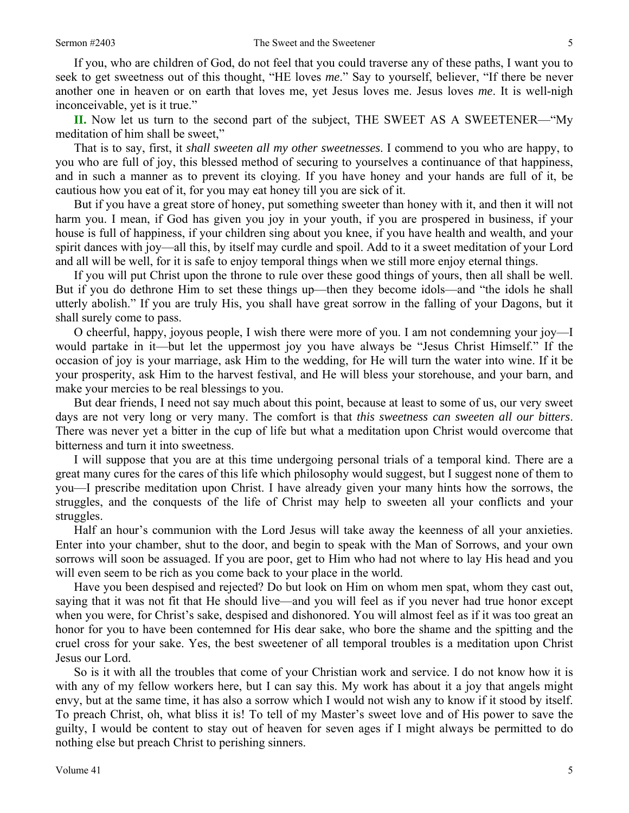If you, who are children of God, do not feel that you could traverse any of these paths, I want you to seek to get sweetness out of this thought, "HE loves *me*." Say to yourself, believer, "If there be never another one in heaven or on earth that loves me, yet Jesus loves me. Jesus loves *me*. It is well-nigh inconceivable, yet is it true."

**II.** Now let us turn to the second part of the subject, THE SWEET AS A SWEETENER—"My meditation of him shall be sweet,"

That is to say, first, it *shall sweeten all my other sweetnesses*. I commend to you who are happy, to you who are full of joy, this blessed method of securing to yourselves a continuance of that happiness, and in such a manner as to prevent its cloying. If you have honey and your hands are full of it, be cautious how you eat of it, for you may eat honey till you are sick of it.

But if you have a great store of honey, put something sweeter than honey with it, and then it will not harm you. I mean, if God has given you joy in your youth, if you are prospered in business, if your house is full of happiness, if your children sing about you knee, if you have health and wealth, and your spirit dances with joy—all this, by itself may curdle and spoil. Add to it a sweet meditation of your Lord and all will be well, for it is safe to enjoy temporal things when we still more enjoy eternal things.

If you will put Christ upon the throne to rule over these good things of yours, then all shall be well. But if you do dethrone Him to set these things up—then they become idols—and "the idols he shall utterly abolish." If you are truly His, you shall have great sorrow in the falling of your Dagons, but it shall surely come to pass.

O cheerful, happy, joyous people, I wish there were more of you. I am not condemning your joy—I would partake in it—but let the uppermost joy you have always be "Jesus Christ Himself." If the occasion of joy is your marriage, ask Him to the wedding, for He will turn the water into wine. If it be your prosperity, ask Him to the harvest festival, and He will bless your storehouse, and your barn, and make your mercies to be real blessings to you.

But dear friends, I need not say much about this point, because at least to some of us, our very sweet days are not very long or very many. The comfort is that *this sweetness can sweeten all our bitters*. There was never yet a bitter in the cup of life but what a meditation upon Christ would overcome that bitterness and turn it into sweetness.

I will suppose that you are at this time undergoing personal trials of a temporal kind. There are a great many cures for the cares of this life which philosophy would suggest, but I suggest none of them to you—I prescribe meditation upon Christ. I have already given your many hints how the sorrows, the struggles, and the conquests of the life of Christ may help to sweeten all your conflicts and your struggles.

Half an hour's communion with the Lord Jesus will take away the keenness of all your anxieties. Enter into your chamber, shut to the door, and begin to speak with the Man of Sorrows, and your own sorrows will soon be assuaged. If you are poor, get to Him who had not where to lay His head and you will even seem to be rich as you come back to your place in the world.

Have you been despised and rejected? Do but look on Him on whom men spat, whom they cast out, saying that it was not fit that He should live—and you will feel as if you never had true honor except when you were, for Christ's sake, despised and dishonored. You will almost feel as if it was too great an honor for you to have been contemned for His dear sake, who bore the shame and the spitting and the cruel cross for your sake. Yes, the best sweetener of all temporal troubles is a meditation upon Christ Jesus our Lord.

So is it with all the troubles that come of your Christian work and service. I do not know how it is with any of my fellow workers here, but I can say this. My work has about it a joy that angels might envy, but at the same time, it has also a sorrow which I would not wish any to know if it stood by itself. To preach Christ, oh, what bliss it is! To tell of my Master's sweet love and of His power to save the guilty, I would be content to stay out of heaven for seven ages if I might always be permitted to do nothing else but preach Christ to perishing sinners.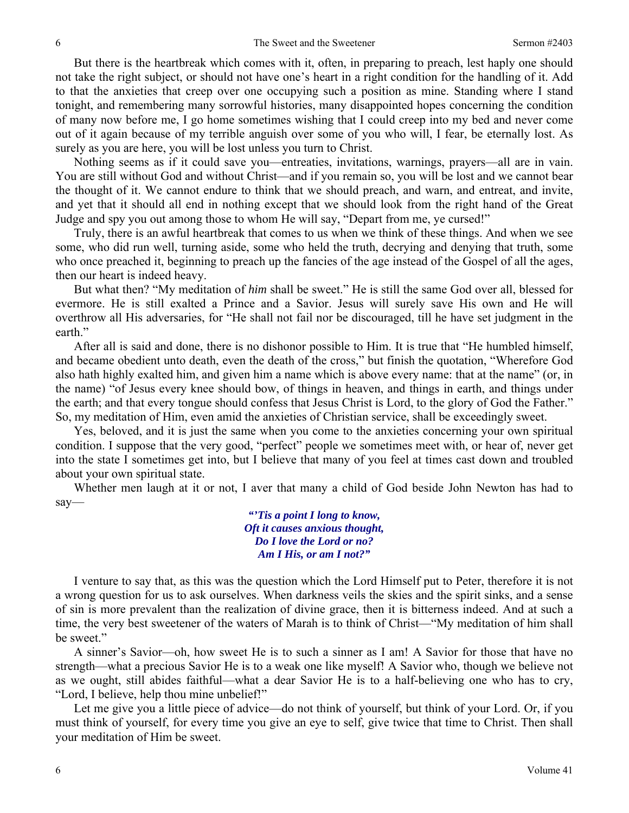But there is the heartbreak which comes with it, often, in preparing to preach, lest haply one should not take the right subject, or should not have one's heart in a right condition for the handling of it. Add to that the anxieties that creep over one occupying such a position as mine. Standing where I stand tonight, and remembering many sorrowful histories, many disappointed hopes concerning the condition of many now before me, I go home sometimes wishing that I could creep into my bed and never come out of it again because of my terrible anguish over some of you who will, I fear, be eternally lost. As surely as you are here, you will be lost unless you turn to Christ.

Nothing seems as if it could save you—entreaties, invitations, warnings, prayers—all are in vain. You are still without God and without Christ—and if you remain so, you will be lost and we cannot bear the thought of it. We cannot endure to think that we should preach, and warn, and entreat, and invite, and yet that it should all end in nothing except that we should look from the right hand of the Great Judge and spy you out among those to whom He will say, "Depart from me, ye cursed!"

Truly, there is an awful heartbreak that comes to us when we think of these things. And when we see some, who did run well, turning aside, some who held the truth, decrying and denying that truth, some who once preached it, beginning to preach up the fancies of the age instead of the Gospel of all the ages, then our heart is indeed heavy.

But what then? "My meditation of *him* shall be sweet." He is still the same God over all, blessed for evermore. He is still exalted a Prince and a Savior. Jesus will surely save His own and He will overthrow all His adversaries, for "He shall not fail nor be discouraged, till he have set judgment in the earth."

After all is said and done, there is no dishonor possible to Him. It is true that "He humbled himself, and became obedient unto death, even the death of the cross," but finish the quotation, "Wherefore God also hath highly exalted him, and given him a name which is above every name: that at the name" (or, in the name) "of Jesus every knee should bow, of things in heaven, and things in earth, and things under the earth; and that every tongue should confess that Jesus Christ is Lord, to the glory of God the Father." So, my meditation of Him, even amid the anxieties of Christian service, shall be exceedingly sweet.

Yes, beloved, and it is just the same when you come to the anxieties concerning your own spiritual condition. I suppose that the very good, "perfect" people we sometimes meet with, or hear of, never get into the state I sometimes get into, but I believe that many of you feel at times cast down and troubled about your own spiritual state.

Whether men laugh at it or not, I aver that many a child of God beside John Newton has had to say—

*"'Tis a point I long to know, Oft it causes anxious thought, Do I love the Lord or no? Am I His, or am I not?"* 

I venture to say that, as this was the question which the Lord Himself put to Peter, therefore it is not a wrong question for us to ask ourselves. When darkness veils the skies and the spirit sinks, and a sense of sin is more prevalent than the realization of divine grace, then it is bitterness indeed. And at such a time, the very best sweetener of the waters of Marah is to think of Christ—"My meditation of him shall be sweet."

A sinner's Savior—oh, how sweet He is to such a sinner as I am! A Savior for those that have no strength—what a precious Savior He is to a weak one like myself! A Savior who, though we believe not as we ought, still abides faithful—what a dear Savior He is to a half-believing one who has to cry, "Lord, I believe, help thou mine unbelief!"

Let me give you a little piece of advice—do not think of yourself, but think of your Lord. Or, if you must think of yourself, for every time you give an eye to self, give twice that time to Christ. Then shall your meditation of Him be sweet.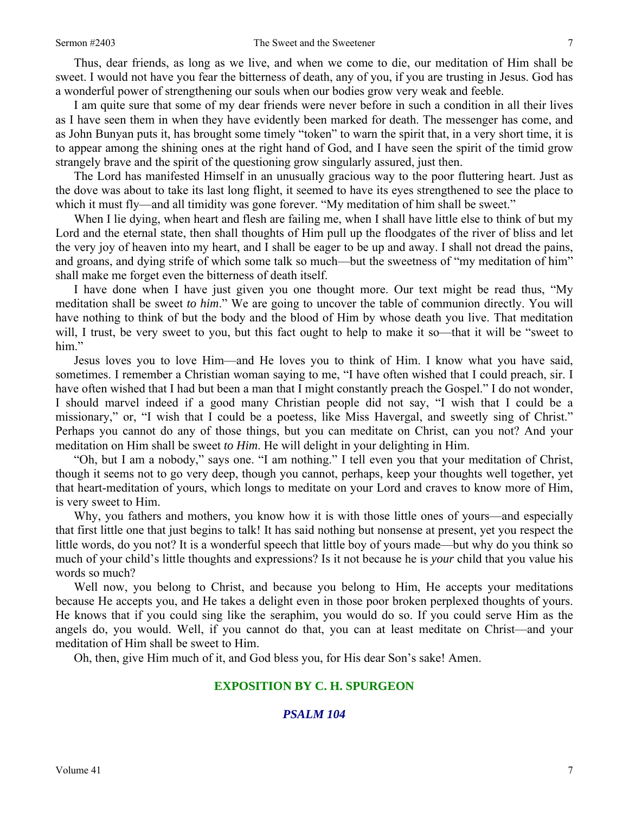Thus, dear friends, as long as we live, and when we come to die, our meditation of Him shall be sweet. I would not have you fear the bitterness of death, any of you, if you are trusting in Jesus. God has a wonderful power of strengthening our souls when our bodies grow very weak and feeble.

I am quite sure that some of my dear friends were never before in such a condition in all their lives as I have seen them in when they have evidently been marked for death. The messenger has come, and as John Bunyan puts it, has brought some timely "token" to warn the spirit that, in a very short time, it is to appear among the shining ones at the right hand of God, and I have seen the spirit of the timid grow strangely brave and the spirit of the questioning grow singularly assured, just then.

The Lord has manifested Himself in an unusually gracious way to the poor fluttering heart. Just as the dove was about to take its last long flight, it seemed to have its eyes strengthened to see the place to which it must fly—and all timidity was gone forever. "My meditation of him shall be sweet."

When I lie dying, when heart and flesh are failing me, when I shall have little else to think of but my Lord and the eternal state, then shall thoughts of Him pull up the floodgates of the river of bliss and let the very joy of heaven into my heart, and I shall be eager to be up and away. I shall not dread the pains, and groans, and dying strife of which some talk so much—but the sweetness of "my meditation of him" shall make me forget even the bitterness of death itself.

I have done when I have just given you one thought more. Our text might be read thus, "My meditation shall be sweet *to him*." We are going to uncover the table of communion directly. You will have nothing to think of but the body and the blood of Him by whose death you live. That meditation will, I trust, be very sweet to you, but this fact ought to help to make it so—that it will be "sweet to him."

Jesus loves you to love Him—and He loves you to think of Him. I know what you have said, sometimes. I remember a Christian woman saying to me, "I have often wished that I could preach, sir. I have often wished that I had but been a man that I might constantly preach the Gospel." I do not wonder, I should marvel indeed if a good many Christian people did not say, "I wish that I could be a missionary," or, "I wish that I could be a poetess, like Miss Havergal, and sweetly sing of Christ." Perhaps you cannot do any of those things, but you can meditate on Christ, can you not? And your meditation on Him shall be sweet *to Him*. He will delight in your delighting in Him.

"Oh, but I am a nobody," says one. "I am nothing." I tell even you that your meditation of Christ, though it seems not to go very deep, though you cannot, perhaps, keep your thoughts well together, yet that heart-meditation of yours, which longs to meditate on your Lord and craves to know more of Him, is very sweet to Him.

Why, you fathers and mothers, you know how it is with those little ones of yours—and especially that first little one that just begins to talk! It has said nothing but nonsense at present, yet you respect the little words, do you not? It is a wonderful speech that little boy of yours made—but why do you think so much of your child's little thoughts and expressions? Is it not because he is *your* child that you value his words so much?

Well now, you belong to Christ, and because you belong to Him, He accepts your meditations because He accepts you, and He takes a delight even in those poor broken perplexed thoughts of yours. He knows that if you could sing like the seraphim, you would do so. If you could serve Him as the angels do, you would. Well, if you cannot do that, you can at least meditate on Christ—and your meditation of Him shall be sweet to Him.

Oh, then, give Him much of it, and God bless you, for His dear Son's sake! Amen.

### **EXPOSITION BY C. H. SPURGEON**

## *PSALM 104*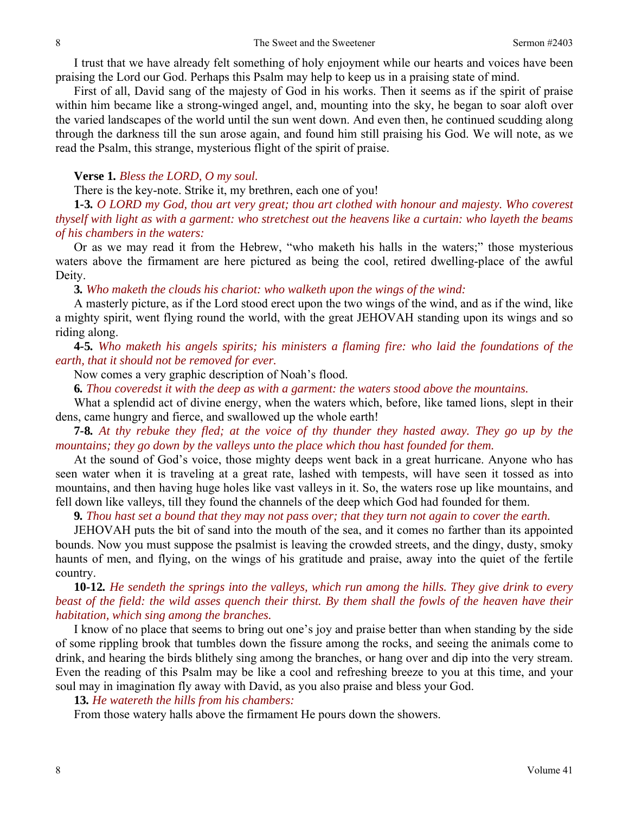I trust that we have already felt something of holy enjoyment while our hearts and voices have been praising the Lord our God. Perhaps this Psalm may help to keep us in a praising state of mind.

First of all, David sang of the majesty of God in his works. Then it seems as if the spirit of praise within him became like a strong-winged angel, and, mounting into the sky, he began to soar aloft over the varied landscapes of the world until the sun went down. And even then, he continued scudding along through the darkness till the sun arose again, and found him still praising his God. We will note, as we read the Psalm, this strange, mysterious flight of the spirit of praise.

#### **Verse 1***. Bless the LORD, O my soul.*

There is the key-note. Strike it, my brethren, each one of you!

**1***-***3***. O LORD my God, thou art very great; thou art clothed with honour and majesty. Who coverest thyself with light as with a garment: who stretchest out the heavens like a curtain: who layeth the beams of his chambers in the waters:*

Or as we may read it from the Hebrew, "who maketh his halls in the waters;" those mysterious waters above the firmament are here pictured as being the cool, retired dwelling-place of the awful Deity.

**3***. Who maketh the clouds his chariot: who walketh upon the wings of the wind:*

A masterly picture, as if the Lord stood erect upon the two wings of the wind, and as if the wind, like a mighty spirit, went flying round the world, with the great JEHOVAH standing upon its wings and so riding along.

**4***-***5***. Who maketh his angels spirits; his ministers a flaming fire: who laid the foundations of the earth, that it should not be removed for ever.*

Now comes a very graphic description of Noah's flood.

**6***. Thou coveredst it with the deep as with a garment: the waters stood above the mountains.*

What a splendid act of divine energy, when the waters which, before, like tamed lions, slept in their dens, came hungry and fierce, and swallowed up the whole earth!

**7***-***8***. At thy rebuke they fled; at the voice of thy thunder they hasted away. They go up by the mountains; they go down by the valleys unto the place which thou hast founded for them.* 

At the sound of God's voice, those mighty deeps went back in a great hurricane. Anyone who has seen water when it is traveling at a great rate, lashed with tempests, will have seen it tossed as into mountains, and then having huge holes like vast valleys in it. So, the waters rose up like mountains, and fell down like valleys, till they found the channels of the deep which God had founded for them.

**9***. Thou hast set a bound that they may not pass over; that they turn not again to cover the earth.*

JEHOVAH puts the bit of sand into the mouth of the sea, and it comes no farther than its appointed bounds. Now you must suppose the psalmist is leaving the crowded streets, and the dingy, dusty, smoky haunts of men, and flying, on the wings of his gratitude and praise, away into the quiet of the fertile country.

# **10***-***12***. He sendeth the springs into the valleys, which run among the hills. They give drink to every beast of the field: the wild asses quench their thirst. By them shall the fowls of the heaven have their habitation, which sing among the branches.*

I know of no place that seems to bring out one's joy and praise better than when standing by the side of some rippling brook that tumbles down the fissure among the rocks, and seeing the animals come to drink, and hearing the birds blithely sing among the branches, or hang over and dip into the very stream. Even the reading of this Psalm may be like a cool and refreshing breeze to you at this time, and your soul may in imagination fly away with David, as you also praise and bless your God.

#### **13***. He watereth the hills from his chambers:*

From those watery halls above the firmament He pours down the showers.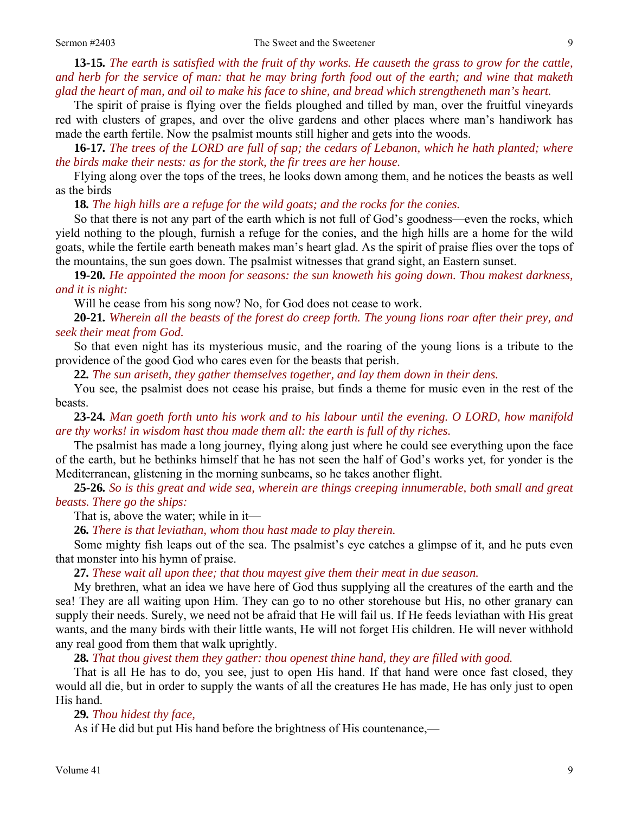**13***-***15***. The earth is satisfied with the fruit of thy works. He causeth the grass to grow for the cattle, and herb for the service of man: that he may bring forth food out of the earth; and wine that maketh glad the heart of man, and oil to make his face to shine, and bread which strengtheneth man's heart.*

The spirit of praise is flying over the fields ploughed and tilled by man, over the fruitful vineyards red with clusters of grapes, and over the olive gardens and other places where man's handiwork has made the earth fertile. Now the psalmist mounts still higher and gets into the woods.

**16***-***17***. The trees of the LORD are full of sap; the cedars of Lebanon, which he hath planted; where the birds make their nests: as for the stork, the fir trees are her house.*

Flying along over the tops of the trees, he looks down among them, and he notices the beasts as well as the birds

**18***. The high hills are a refuge for the wild goats; and the rocks for the conies.* 

So that there is not any part of the earth which is not full of God's goodness—even the rocks, which yield nothing to the plough, furnish a refuge for the conies, and the high hills are a home for the wild goats, while the fertile earth beneath makes man's heart glad. As the spirit of praise flies over the tops of the mountains, the sun goes down. The psalmist witnesses that grand sight, an Eastern sunset.

**19***-***20***. He appointed the moon for seasons: the sun knoweth his going down. Thou makest darkness, and it is night:*

Will he cease from his song now? No, for God does not cease to work.

**20***-***21***. Wherein all the beasts of the forest do creep forth. The young lions roar after their prey, and seek their meat from God.*

So that even night has its mysterious music, and the roaring of the young lions is a tribute to the providence of the good God who cares even for the beasts that perish.

**22***. The sun ariseth, they gather themselves together, and lay them down in their dens.*

You see, the psalmist does not cease his praise, but finds a theme for music even in the rest of the beasts.

**23***-***24***. Man goeth forth unto his work and to his labour until the evening. O LORD, how manifold are thy works! in wisdom hast thou made them all: the earth is full of thy riches.*

The psalmist has made a long journey, flying along just where he could see everything upon the face of the earth, but he bethinks himself that he has not seen the half of God's works yet, for yonder is the Mediterranean, glistening in the morning sunbeams, so he takes another flight.

**25***-***26***. So is this great and wide sea, wherein are things creeping innumerable, both small and great beasts. There go the ships:*

That is, above the water; while in it—

**26***. There is that leviathan, whom thou hast made to play therein.*

Some mighty fish leaps out of the sea. The psalmist's eye catches a glimpse of it, and he puts even that monster into his hymn of praise.

**27***. These wait all upon thee; that thou mayest give them their meat in due season.*

My brethren, what an idea we have here of God thus supplying all the creatures of the earth and the sea! They are all waiting upon Him. They can go to no other storehouse but His, no other granary can supply their needs. Surely, we need not be afraid that He will fail us. If He feeds leviathan with His great wants, and the many birds with their little wants, He will not forget His children. He will never withhold any real good from them that walk uprightly.

**28***. That thou givest them they gather: thou openest thine hand, they are filled with good.*

That is all He has to do, you see, just to open His hand. If that hand were once fast closed, they would all die, but in order to supply the wants of all the creatures He has made, He has only just to open His hand.

#### **29***. Thou hidest thy face,*

As if He did but put His hand before the brightness of His countenance,—